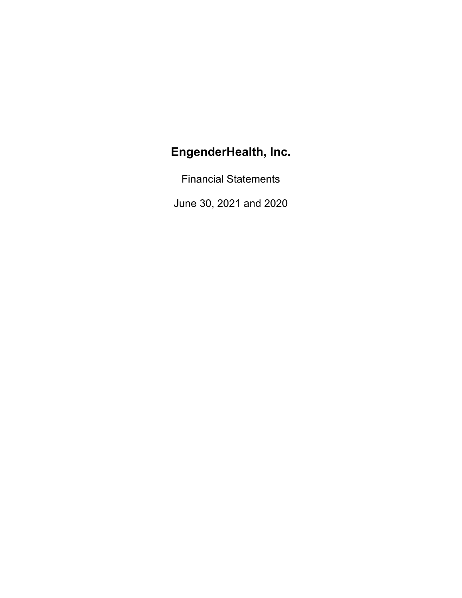Financial Statements

June 30, 2021 and 2020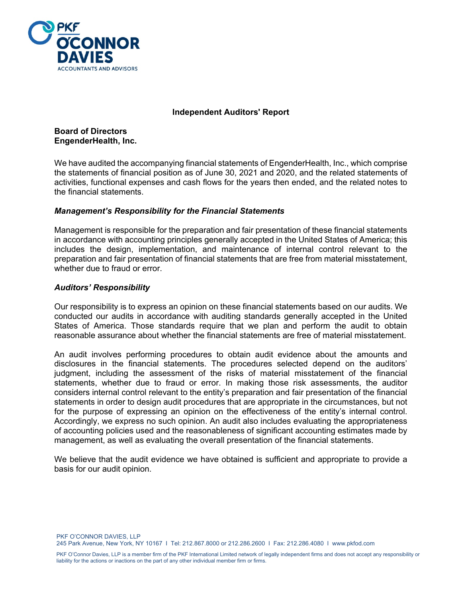

# **Independent Auditors' Report**

**Board of Directors EngenderHealth, Inc.** 

We have audited the accompanying financial statements of EngenderHealth, Inc., which comprise the statements of financial position as of June 30, 2021 and 2020, and the related statements of activities, functional expenses and cash flows for the years then ended, and the related notes to the financial statements.

# *Management's Responsibility for the Financial Statements*

Management is responsible for the preparation and fair presentation of these financial statements in accordance with accounting principles generally accepted in the United States of America; this includes the design, implementation, and maintenance of internal control relevant to the preparation and fair presentation of financial statements that are free from material misstatement, whether due to fraud or error.

# *Auditors' Responsibility*

Our responsibility is to express an opinion on these financial statements based on our audits. We conducted our audits in accordance with auditing standards generally accepted in the United States of America. Those standards require that we plan and perform the audit to obtain reasonable assurance about whether the financial statements are free of material misstatement.

An audit involves performing procedures to obtain audit evidence about the amounts and disclosures in the financial statements. The procedures selected depend on the auditors' judgment, including the assessment of the risks of material misstatement of the financial statements, whether due to fraud or error. In making those risk assessments, the auditor considers internal control relevant to the entity's preparation and fair presentation of the financial statements in order to design audit procedures that are appropriate in the circumstances, but not for the purpose of expressing an opinion on the effectiveness of the entity's internal control. Accordingly, we express no such opinion. An audit also includes evaluating the appropriateness of accounting policies used and the reasonableness of significant accounting estimates made by management, as well as evaluating the overall presentation of the financial statements.

We believe that the audit evidence we have obtained is sufficient and appropriate to provide a basis for our audit opinion.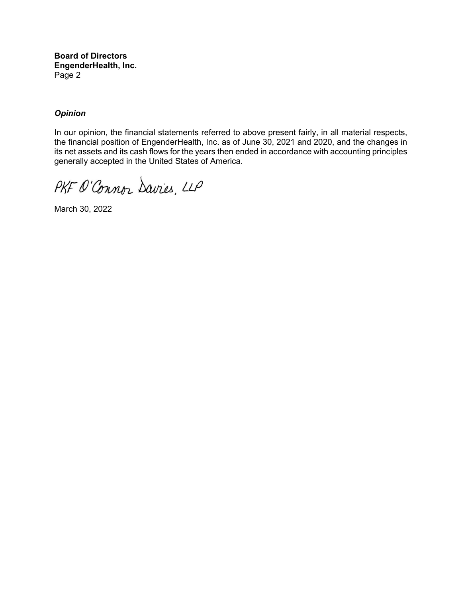**Board of Directors EngenderHealth, Inc.**  Page 2

# *Opinion*

In our opinion, the financial statements referred to above present fairly, in all material respects, the financial position of EngenderHealth, Inc. as of June 30, 2021 and 2020, and the changes in its net assets and its cash flows for the years then ended in accordance with accounting principles generally accepted in the United States of America.

PKF O'Connor Davies, LLP

March 30, 2022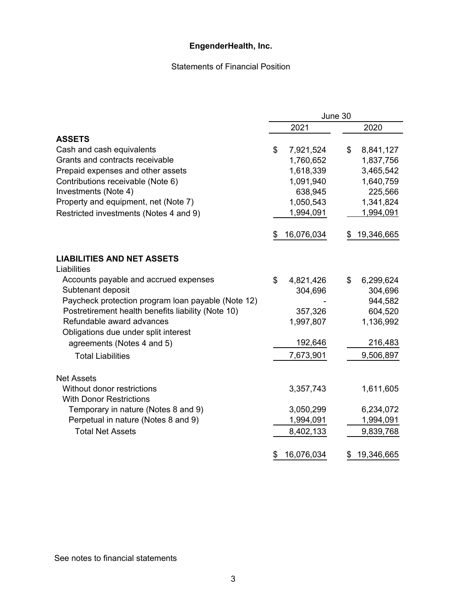# Statements of Financial Position

|                                                                                 | June 30          |                  |  |
|---------------------------------------------------------------------------------|------------------|------------------|--|
|                                                                                 | 2021             | 2020             |  |
| <b>ASSETS</b>                                                                   |                  |                  |  |
| Cash and cash equivalents                                                       | \$<br>7,921,524  | \$<br>8,841,127  |  |
| Grants and contracts receivable                                                 | 1,760,652        | 1,837,756        |  |
| Prepaid expenses and other assets                                               | 1,618,339        | 3,465,542        |  |
| Contributions receivable (Note 6)                                               | 1,091,940        | 1,640,759        |  |
| Investments (Note 4)                                                            | 638,945          | 225,566          |  |
| Property and equipment, net (Note 7)                                            | 1,050,543        | 1,341,824        |  |
| Restricted investments (Notes 4 and 9)                                          | 1,994,091        | 1,994,091        |  |
|                                                                                 | 16,076,034<br>\$ | 19,346,665<br>\$ |  |
| <b>LIABILITIES AND NET ASSETS</b>                                               |                  |                  |  |
| Liabilities                                                                     |                  |                  |  |
| Accounts payable and accrued expenses                                           | \$<br>4,821,426  | \$<br>6,299,624  |  |
| Subtenant deposit                                                               | 304,696          | 304,696          |  |
| Paycheck protection program loan payable (Note 12)                              |                  | 944,582          |  |
| Postretirement health benefits liability (Note 10)<br>Refundable award advances | 357,326          | 604,520          |  |
| Obligations due under split interest                                            | 1,997,807        | 1,136,992        |  |
| agreements (Notes 4 and 5)                                                      | 192,646          | 216,483          |  |
| <b>Total Liabilities</b>                                                        | 7,673,901        | 9,506,897        |  |
|                                                                                 |                  |                  |  |
| <b>Net Assets</b>                                                               |                  |                  |  |
| Without donor restrictions<br><b>With Donor Restrictions</b>                    | 3,357,743        | 1,611,605        |  |
| Temporary in nature (Notes 8 and 9)                                             | 3,050,299        | 6,234,072        |  |
| Perpetual in nature (Notes 8 and 9)                                             | 1,994,091        | 1,994,091        |  |
| <b>Total Net Assets</b>                                                         | 8,402,133        | 9,839,768        |  |
|                                                                                 | \$<br>16,076,034 | 19,346,665<br>\$ |  |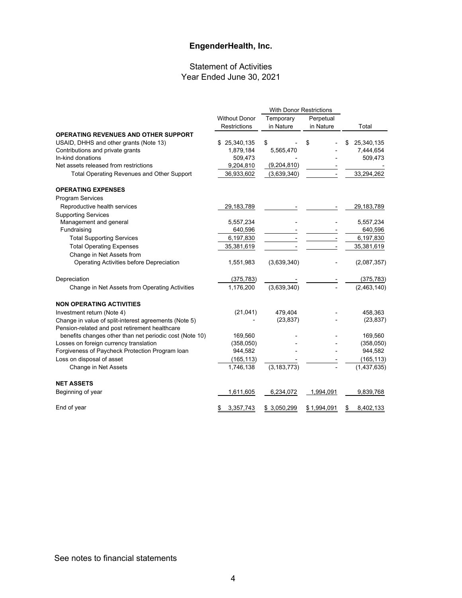# Statement of Activities Year Ended June 30, 2021

|                                                         |                      | <b>With Donor Restrictions</b> |             |                 |
|---------------------------------------------------------|----------------------|--------------------------------|-------------|-----------------|
|                                                         | <b>Without Donor</b> | Temporary                      | Perpetual   |                 |
|                                                         | Restrictions         | in Nature                      | in Nature   | Total           |
| <b>OPERATING REVENUES AND OTHER SUPPORT</b>             |                      |                                |             |                 |
| USAID, DHHS and other grants (Note 13)                  | \$25,340,135         | \$                             | \$          | 25,340,135      |
| Contributions and private grants                        | 1,879,184            | 5,565,470                      |             | 7,444,654       |
| In-kind donations                                       | 509,473              |                                |             | 509,473         |
| Net assets released from restrictions                   | 9,204,810            | (9, 204, 810)                  |             |                 |
| <b>Total Operating Revenues and Other Support</b>       | 36,933,602           | (3,639,340)                    |             | 33,294,262      |
| <b>OPERATING EXPENSES</b>                               |                      |                                |             |                 |
| <b>Program Services</b>                                 |                      |                                |             |                 |
| Reproductive health services                            | 29,183,789           |                                |             | 29,183,789      |
| <b>Supporting Services</b>                              |                      |                                |             |                 |
| Management and general                                  | 5,557,234            |                                |             | 5,557,234       |
| Fundraising                                             | 640,596              |                                |             | 640,596         |
| <b>Total Supporting Services</b>                        | 6,197,830            |                                |             | 6,197,830       |
| <b>Total Operating Expenses</b>                         | 35,381,619           |                                |             | 35,381,619      |
| Change in Net Assets from                               |                      |                                |             |                 |
| Operating Activities before Depreciation                | 1,551,983            | (3,639,340)                    |             | (2,087,357)     |
| Depreciation                                            | (375, 783)           |                                |             | (375, 783)      |
| Change in Net Assets from Operating Activities          | 1,176,200            | (3,639,340)                    |             | (2,463,140)     |
| <b>NON OPERATING ACTIVITIES</b>                         |                      |                                |             |                 |
| Investment return (Note 4)                              | (21, 041)            | 479,404                        |             | 458,363         |
| Change in value of split-interest agreements (Note 5)   |                      | (23, 837)                      |             | (23, 837)       |
| Pension-related and post retirement healthcare          |                      |                                |             |                 |
| benefits changes other than net periodic cost (Note 10) | 169,560              |                                |             | 169,560         |
| Losses on foreign currency translation                  | (358,050)            |                                |             | (358,050)       |
| Forgiveness of Paycheck Protection Program loan         | 944,582              |                                |             | 944,582         |
| Loss on disposal of asset                               | (165, 113)           |                                |             | (165, 113)      |
| Change in Net Assets                                    | 1,746,138            | (3, 183, 773)                  |             | (1,437,635)     |
| <b>NET ASSETS</b>                                       |                      |                                |             |                 |
| Beginning of year                                       | 1,611,605            | 6,234,072                      | 1,994,091   | 9,839,768       |
| End of year                                             | 3,357,743<br>\$      | \$3,050,299                    | \$1,994,091 | 8,402,133<br>\$ |

See notes to financial statements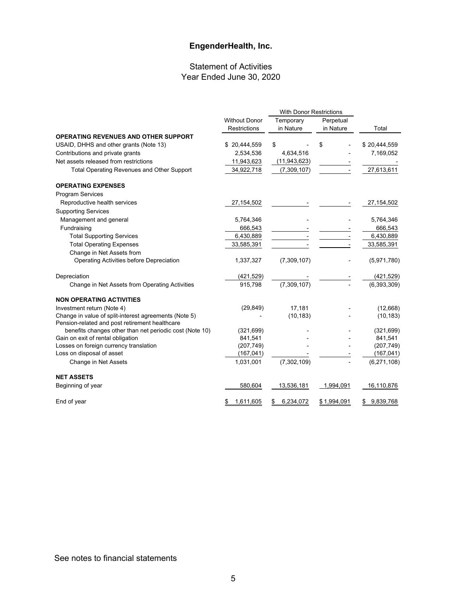# Statement of Activities Year Ended June 30, 2020

|                                                                                                         | <b>With Donor Restrictions</b> |                 |             |                 |
|---------------------------------------------------------------------------------------------------------|--------------------------------|-----------------|-------------|-----------------|
|                                                                                                         | <b>Without Donor</b>           | Temporary       | Perpetual   |                 |
|                                                                                                         | Restrictions                   | in Nature       | in Nature   | Total           |
| OPERATING REVENUES AND OTHER SUPPORT                                                                    |                                |                 |             |                 |
| USAID, DHHS and other grants (Note 13)                                                                  | \$20,444,559                   | \$              | \$          | \$20,444,559    |
| Contributions and private grants                                                                        | 2,534,536                      | 4,634,516       |             | 7,169,052       |
| Net assets released from restrictions                                                                   | 11,943,623                     | (11, 943, 623)  |             |                 |
| <b>Total Operating Revenues and Other Support</b>                                                       | 34,922,718                     | (7,309,107)     |             | 27,613,611      |
| <b>OPERATING EXPENSES</b>                                                                               |                                |                 |             |                 |
| <b>Program Services</b>                                                                                 |                                |                 |             |                 |
| Reproductive health services                                                                            | 27, 154, 502                   |                 |             | 27, 154, 502    |
| <b>Supporting Services</b>                                                                              |                                |                 |             |                 |
| Management and general                                                                                  | 5,764,346                      |                 |             | 5,764,346       |
| Fundraising                                                                                             | 666,543                        |                 |             | 666,543         |
| <b>Total Supporting Services</b>                                                                        | 6,430,889                      |                 |             | 6,430,889       |
| <b>Total Operating Expenses</b>                                                                         | 33,585,391                     |                 |             | 33,585,391      |
| Change in Net Assets from                                                                               |                                |                 |             |                 |
| Operating Activities before Depreciation                                                                | 1,337,327                      | (7,309,107)     |             | (5,971,780)     |
| Depreciation                                                                                            | (421, 529)                     |                 |             | (421, 529)      |
| Change in Net Assets from Operating Activities                                                          | 915,798                        | (7,309,107)     |             | (6, 393, 309)   |
| <b>NON OPERATING ACTIVITIES</b>                                                                         |                                |                 |             |                 |
| Investment return (Note 4)                                                                              | (29, 849)                      | 17,181          |             | (12,668)        |
| Change in value of split-interest agreements (Note 5)<br>Pension-related and post retirement healthcare |                                | (10, 183)       |             | (10, 183)       |
| benefits changes other than net periodic cost (Note 10)                                                 | (321, 699)                     |                 |             | (321, 699)      |
| Gain on exit of rental obligation                                                                       | 841,541                        |                 |             | 841,541         |
| Losses on foreign currency translation                                                                  | (207, 749)                     |                 |             | (207, 749)      |
| Loss on disposal of asset                                                                               | (167, 041)                     |                 |             | (167, 041)      |
| Change in Net Assets                                                                                    | 1,031,001                      | (7, 302, 109)   |             | (6, 271, 108)   |
| <b>NET ASSETS</b>                                                                                       |                                |                 |             |                 |
| Beginning of year                                                                                       | 580,604                        | 13,536,181      | 1,994,091   | 16,110,876      |
| End of year                                                                                             | 1,611,605<br>\$                | 6,234,072<br>\$ | \$1,994,091 | 9,839,768<br>\$ |

See notes to financial statements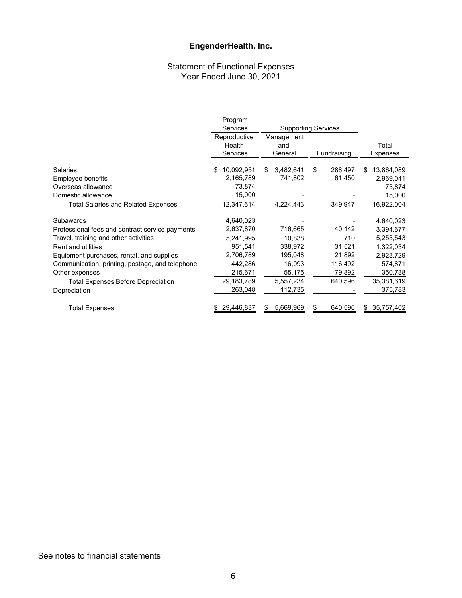# Statement of Functional Expenses Year Ended June 30, 2021

|                                                 | Program          |                            |              |                   |
|-------------------------------------------------|------------------|----------------------------|--------------|-------------------|
|                                                 | <b>Services</b>  | <b>Supporting Services</b> |              |                   |
|                                                 | Reproductive     | Management                 |              |                   |
|                                                 | Health           | and                        |              | Total             |
|                                                 | <b>Services</b>  | General                    | Fundraising  | <b>Expenses</b>   |
| Salaries                                        | 10,092,951<br>\$ | 3,482,641<br>S             | 288,497<br>S | 13,864,089<br>\$. |
| Employee benefits                               | 2,165,789        | 741,802                    | 61,450       | 2,969,041         |
| Overseas allowance                              | 73,874           |                            |              | 73,874            |
| Domestic allowance                              | 15,000           |                            |              |                   |
|                                                 |                  |                            |              | 15,000            |
| Total Salaries and Related Expenses             | 12,347,614       | 4,224,443                  | 349,947      | 16,922,004        |
| Subawards                                       | 4,640,023        |                            |              | 4,640,023         |
| Professional fees and contract service payments | 2,637,870        | 716,665                    | 40,142       | 3,394,677         |
| Travel, training and other activities           | 5,241,995        | 10,838                     | 710          | 5,253,543         |
| Rent and utilities                              | 951,541          | 338,972                    | 31,521       | 1,322,034         |
| Equipment purchases, rental, and supplies       | 2,706,789        | 195,048                    | 21,892       | 2,923,729         |
| Communication, printing, postage, and telephone | 442,286          | 16,093                     | 116,492      | 574,871           |
| Other expenses                                  | 215,671          | 55,175                     | 79,892       | 350,738           |
| <b>Total Expenses Before Depreciation</b>       | 29,183,789       | 5,557,234                  | 640,596      | 35,381,619        |
| Depreciation                                    | 263,048          | 112,735                    |              | 375,783           |
| Total Expenses                                  | 29,446,837       | 5,669,969<br>S             | 640,596<br>S | 35,757,402<br>S   |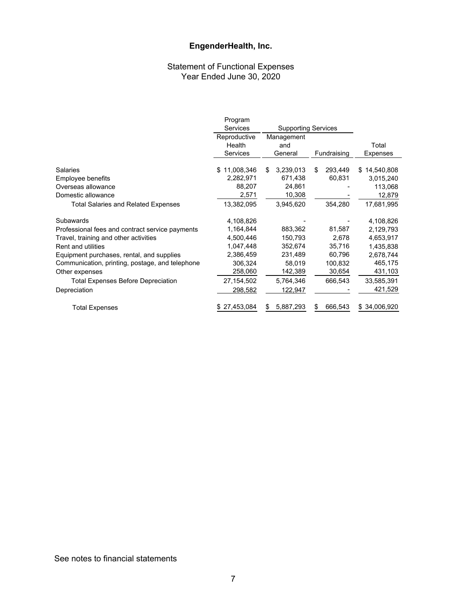#### Statement of Functional Expenses Year Ended June 30, 2020

|                                                 | Program          |                            |              |                  |
|-------------------------------------------------|------------------|----------------------------|--------------|------------------|
|                                                 | <b>Services</b>  | <b>Supporting Services</b> |              |                  |
|                                                 | Reproductive     | Management                 |              |                  |
|                                                 | Health           | and                        |              | Total            |
|                                                 | <b>Services</b>  | General                    | Fundraising  | <b>Expenses</b>  |
|                                                 |                  |                            |              |                  |
| Salaries                                        | 11,008,346<br>S. | 3,239,013<br>S             | 293,449<br>S | \$14,540,808     |
| Employee benefits                               | 2,282,971        | 671,438                    | 60,831       | 3,015,240        |
| Overseas allowance                              | 88,207           | 24,861                     |              | 113,068          |
| Domestic allowance                              | 2,571            | 10,308                     |              | 12,879           |
| <b>Total Salaries and Related Expenses</b>      | 13,382,095       | 3,945,620                  | 354,280      | 17,681,995       |
| Subawards                                       | 4,108,826        |                            |              | 4,108,826        |
| Professional fees and contract service payments | 1,164,844        | 883,362                    | 81,587       | 2,129,793        |
| Travel, training and other activities           | 4,500,446        | 150,793                    | 2,678        | 4,653,917        |
| <b>Rent and utilities</b>                       | 1,047,448        | 352,674                    | 35,716       | 1,435,838        |
| Equipment purchases, rental, and supplies       | 2,386,459        | 231,489                    | 60,796       | 2,678,744        |
| Communication, printing, postage, and telephone | 306,324          | 58,019                     | 100,832      | 465,175          |
| Other expenses                                  | 258,060          | 142,389                    | 30,654       | 431,103          |
| <b>Total Expenses Before Depreciation</b>       | 27,154,502       | 5,764,346                  | 666,543      | 33,585,391       |
| Depreciation                                    | 298,582          | 122,947                    |              | 421,529          |
| <b>Total Expenses</b>                           | \$27,453,084     | 5,887,293<br>S             | 666,543<br>S | 34,006,920<br>\$ |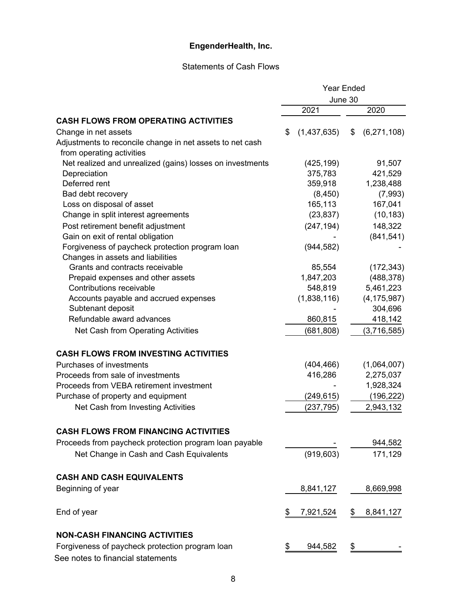# Statements of Cash Flows

|                                                           | <b>Year Ended</b><br>June 30 |                   |  |
|-----------------------------------------------------------|------------------------------|-------------------|--|
|                                                           | 2021                         | 2020              |  |
| <b>CASH FLOWS FROM OPERATING ACTIVITIES</b>               |                              |                   |  |
| Change in net assets                                      | (1,437,635)<br>\$            | (6,271,108)<br>\$ |  |
| Adjustments to reconcile change in net assets to net cash |                              |                   |  |
| from operating activities                                 |                              |                   |  |
| Net realized and unrealized (gains) losses on investments | (425, 199)                   | 91,507            |  |
| Depreciation                                              | 375,783                      | 421,529           |  |
| Deferred rent                                             | 359,918                      | 1,238,488         |  |
| Bad debt recovery                                         | (8, 450)                     | (7,993)           |  |
| Loss on disposal of asset                                 | 165,113                      | 167,041           |  |
| Change in split interest agreements                       | (23, 837)                    | (10, 183)         |  |
| Post retirement benefit adjustment                        | (247, 194)                   | 148,322           |  |
| Gain on exit of rental obligation                         |                              | (841, 541)        |  |
| Forgiveness of paycheck protection program loan           | (944, 582)                   |                   |  |
| Changes in assets and liabilities                         |                              |                   |  |
| Grants and contracts receivable                           | 85,554                       | (172, 343)        |  |
| Prepaid expenses and other assets                         | 1,847,203                    | (488, 378)        |  |
| Contributions receivable                                  | 548,819                      | 5,461,223         |  |
| Accounts payable and accrued expenses                     | (1,838,116)                  | (4, 175, 987)     |  |
| Subtenant deposit                                         |                              | 304,696           |  |
| Refundable award advances                                 | 860,815                      | 418,142           |  |
| Net Cash from Operating Activities                        | (681, 808)                   | (3,716,585)       |  |
| <b>CASH FLOWS FROM INVESTING ACTIVITIES</b>               |                              |                   |  |
| Purchases of investments                                  | (404, 466)                   | (1,064,007)       |  |
| Proceeds from sale of investments                         | 416,286                      | 2,275,037         |  |
| Proceeds from VEBA retirement investment                  |                              | 1,928,324         |  |
| Purchase of property and equipment                        | (249, 615)                   | (196,222)         |  |
| Net Cash from Investing Activities                        | (237, 795)                   | 2,943,132         |  |
| <b>CASH FLOWS FROM FINANCING ACTIVITIES</b>               |                              |                   |  |
| Proceeds from paycheck protection program loan payable    |                              | 944,582           |  |
|                                                           | (919, 603)                   | 171,129           |  |
| Net Change in Cash and Cash Equivalents                   |                              |                   |  |
| <b>CASH AND CASH EQUIVALENTS</b>                          |                              |                   |  |
| Beginning of year                                         | 8,841,127                    | 8,669,998         |  |
| End of year                                               | 7,921,524<br>\$              | 8,841,127<br>\$   |  |
| <b>NON-CASH FINANCING ACTIVITIES</b>                      |                              |                   |  |
| Forgiveness of paycheck protection program loan           | 944,582                      | \$                |  |
| See notes to financial statements                         |                              |                   |  |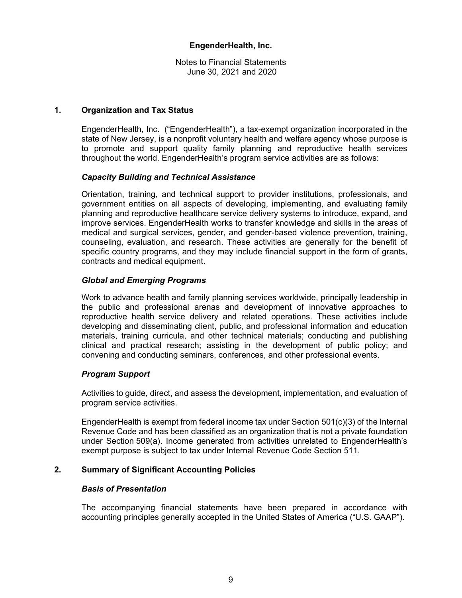Notes to Financial Statements June 30, 2021 and 2020

# **1. Organization and Tax Status**

EngenderHealth, Inc. ("EngenderHealth"), a tax-exempt organization incorporated in the state of New Jersey, is a nonprofit voluntary health and welfare agency whose purpose is to promote and support quality family planning and reproductive health services throughout the world. EngenderHealth's program service activities are as follows:

#### *Capacity Building and Technical Assistance*

Orientation, training, and technical support to provider institutions, professionals, and government entities on all aspects of developing, implementing, and evaluating family planning and reproductive healthcare service delivery systems to introduce, expand, and improve services. EngenderHealth works to transfer knowledge and skills in the areas of medical and surgical services, gender, and gender-based violence prevention, training, counseling, evaluation, and research. These activities are generally for the benefit of specific country programs, and they may include financial support in the form of grants, contracts and medical equipment.

# *Global and Emerging Programs*

Work to advance health and family planning services worldwide, principally leadership in the public and professional arenas and development of innovative approaches to reproductive health service delivery and related operations. These activities include developing and disseminating client, public, and professional information and education materials, training curricula, and other technical materials; conducting and publishing clinical and practical research; assisting in the development of public policy; and convening and conducting seminars, conferences, and other professional events.

# *Program Support*

Activities to guide, direct, and assess the development, implementation, and evaluation of program service activities.

EngenderHealth is exempt from federal income tax under Section 501(c)(3) of the Internal Revenue Code and has been classified as an organization that is not a private foundation under Section 509(a). Income generated from activities unrelated to EngenderHealth's exempt purpose is subject to tax under Internal Revenue Code Section 511.

# **2. Summary of Significant Accounting Policies**

#### *Basis of Presentation*

The accompanying financial statements have been prepared in accordance with accounting principles generally accepted in the United States of America ("U.S. GAAP").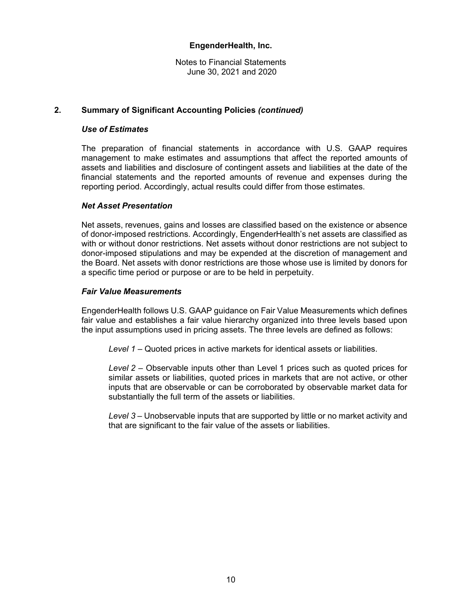Notes to Financial Statements June 30, 2021 and 2020

# **2. Summary of Significant Accounting Policies** *(continued)*

# *Use of Estimates*

The preparation of financial statements in accordance with U.S. GAAP requires management to make estimates and assumptions that affect the reported amounts of assets and liabilities and disclosure of contingent assets and liabilities at the date of the financial statements and the reported amounts of revenue and expenses during the reporting period. Accordingly, actual results could differ from those estimates.

#### *Net Asset Presentation*

Net assets, revenues, gains and losses are classified based on the existence or absence of donor-imposed restrictions. Accordingly, EngenderHealth's net assets are classified as with or without donor restrictions. Net assets without donor restrictions are not subject to donor-imposed stipulations and may be expended at the discretion of management and the Board. Net assets with donor restrictions are those whose use is limited by donors for a specific time period or purpose or are to be held in perpetuity.

#### *Fair Value Measurements*

EngenderHealth follows U.S. GAAP guidance on Fair Value Measurements which defines fair value and establishes a fair value hierarchy organized into three levels based upon the input assumptions used in pricing assets. The three levels are defined as follows:

 *Level 1* – Quoted prices in active markets for identical assets or liabilities.

*Level 2* – Observable inputs other than Level 1 prices such as quoted prices for similar assets or liabilities, quoted prices in markets that are not active, or other inputs that are observable or can be corroborated by observable market data for substantially the full term of the assets or liabilities.

*Level 3* – Unobservable inputs that are supported by little or no market activity and that are significant to the fair value of the assets or liabilities.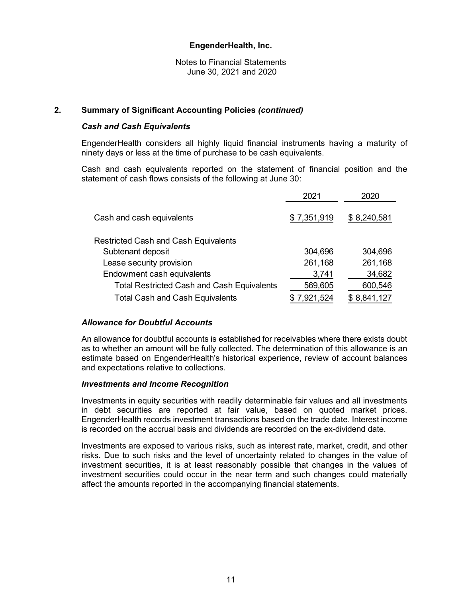Notes to Financial Statements June 30, 2021 and 2020

# **2. Summary of Significant Accounting Policies** *(continued)*

### *Cash and Cash Equivalents*

EngenderHealth considers all highly liquid financial instruments having a maturity of ninety days or less at the time of purchase to be cash equivalents.

Cash and cash equivalents reported on the statement of financial position and the statement of cash flows consists of the following at June 30:

|                                                   | 2021        | 2020        |
|---------------------------------------------------|-------------|-------------|
| Cash and cash equivalents                         | \$7,351,919 | \$8,240,581 |
| <b>Restricted Cash and Cash Equivalents</b>       |             |             |
| Subtenant deposit                                 | 304,696     | 304,696     |
| Lease security provision                          | 261,168     | 261,168     |
| Endowment cash equivalents                        | 3,741       | 34,682      |
| <b>Total Restricted Cash and Cash Equivalents</b> | 569,605     | 600,546     |
| <b>Total Cash and Cash Equivalents</b>            | 7,921,524   | \$8,841,127 |

# *Allowance for Doubtful Accounts*

An allowance for doubtful accounts is established for receivables where there exists doubt as to whether an amount will be fully collected. The determination of this allowance is an estimate based on EngenderHealth's historical experience, review of account balances and expectations relative to collections.

#### *Investments and Income Recognition*

Investments in equity securities with readily determinable fair values and all investments in debt securities are reported at fair value, based on quoted market prices. EngenderHealth records investment transactions based on the trade date. Interest income is recorded on the accrual basis and dividends are recorded on the ex-dividend date.

Investments are exposed to various risks, such as interest rate, market, credit, and other risks. Due to such risks and the level of uncertainty related to changes in the value of investment securities, it is at least reasonably possible that changes in the values of investment securities could occur in the near term and such changes could materially affect the amounts reported in the accompanying financial statements.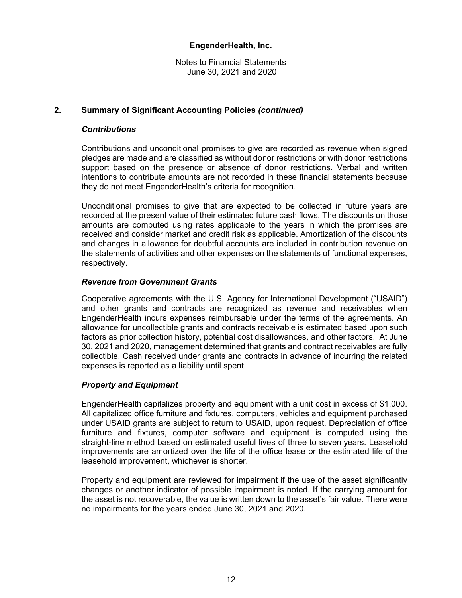Notes to Financial Statements June 30, 2021 and 2020

# **2. Summary of Significant Accounting Policies** *(continued)*

#### *Contributions*

Contributions and unconditional promises to give are recorded as revenue when signed pledges are made and are classified as without donor restrictions or with donor restrictions support based on the presence or absence of donor restrictions. Verbal and written intentions to contribute amounts are not recorded in these financial statements because they do not meet EngenderHealth's criteria for recognition.

Unconditional promises to give that are expected to be collected in future years are recorded at the present value of their estimated future cash flows. The discounts on those amounts are computed using rates applicable to the years in which the promises are received and consider market and credit risk as applicable. Amortization of the discounts and changes in allowance for doubtful accounts are included in contribution revenue on the statements of activities and other expenses on the statements of functional expenses, respectively.

#### *Revenue from Government Grants*

Cooperative agreements with the U.S. Agency for International Development ("USAID") and other grants and contracts are recognized as revenue and receivables when EngenderHealth incurs expenses reimbursable under the terms of the agreements. An allowance for uncollectible grants and contracts receivable is estimated based upon such factors as prior collection history, potential cost disallowances, and other factors. At June 30, 2021 and 2020, management determined that grants and contract receivables are fully collectible. Cash received under grants and contracts in advance of incurring the related expenses is reported as a liability until spent.

#### *Property and Equipment*

EngenderHealth capitalizes property and equipment with a unit cost in excess of \$1,000. All capitalized office furniture and fixtures, computers, vehicles and equipment purchased under USAID grants are subject to return to USAID, upon request. Depreciation of office furniture and fixtures, computer software and equipment is computed using the straight-line method based on estimated useful lives of three to seven years. Leasehold improvements are amortized over the life of the office lease or the estimated life of the leasehold improvement, whichever is shorter.

Property and equipment are reviewed for impairment if the use of the asset significantly changes or another indicator of possible impairment is noted. If the carrying amount for the asset is not recoverable, the value is written down to the asset's fair value. There were no impairments for the years ended June 30, 2021 and 2020.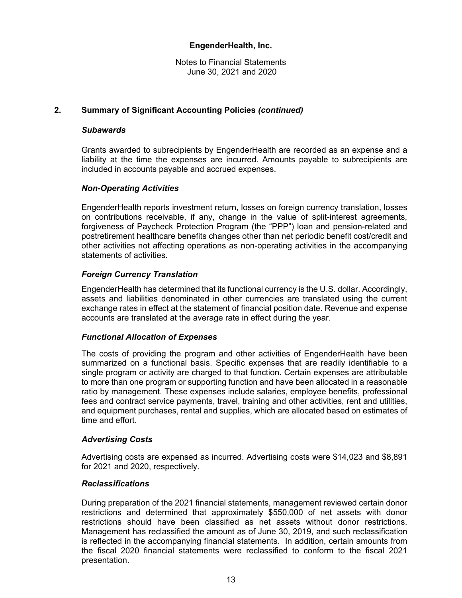Notes to Financial Statements June 30, 2021 and 2020

# **2. Summary of Significant Accounting Policies** *(continued)*

### *Subawards*

Grants awarded to subrecipients by EngenderHealth are recorded as an expense and a liability at the time the expenses are incurred. Amounts payable to subrecipients are included in accounts payable and accrued expenses.

# *Non-Operating Activities*

EngenderHealth reports investment return, losses on foreign currency translation, losses on contributions receivable, if any, change in the value of split-interest agreements, forgiveness of Paycheck Protection Program (the "PPP") loan and pension-related and postretirement healthcare benefits changes other than net periodic benefit cost/credit and other activities not affecting operations as non-operating activities in the accompanying statements of activities.

# *Foreign Currency Translation*

EngenderHealth has determined that its functional currency is the U.S. dollar. Accordingly, assets and liabilities denominated in other currencies are translated using the current exchange rates in effect at the statement of financial position date. Revenue and expense accounts are translated at the average rate in effect during the year.

# *Functional Allocation of Expenses*

The costs of providing the program and other activities of EngenderHealth have been summarized on a functional basis. Specific expenses that are readily identifiable to a single program or activity are charged to that function. Certain expenses are attributable to more than one program or supporting function and have been allocated in a reasonable ratio by management. These expenses include salaries, employee benefits, professional fees and contract service payments, travel, training and other activities, rent and utilities, and equipment purchases, rental and supplies, which are allocated based on estimates of time and effort.

# *Advertising Costs*

Advertising costs are expensed as incurred. Advertising costs were \$14,023 and \$8,891 for 2021 and 2020, respectively.

# *Reclassifications*

During preparation of the 2021 financial statements, management reviewed certain donor restrictions and determined that approximately \$550,000 of net assets with donor restrictions should have been classified as net assets without donor restrictions. Management has reclassified the amount as of June 30, 2019, and such reclassification is reflected in the accompanying financial statements. In addition, certain amounts from the fiscal 2020 financial statements were reclassified to conform to the fiscal 2021 presentation.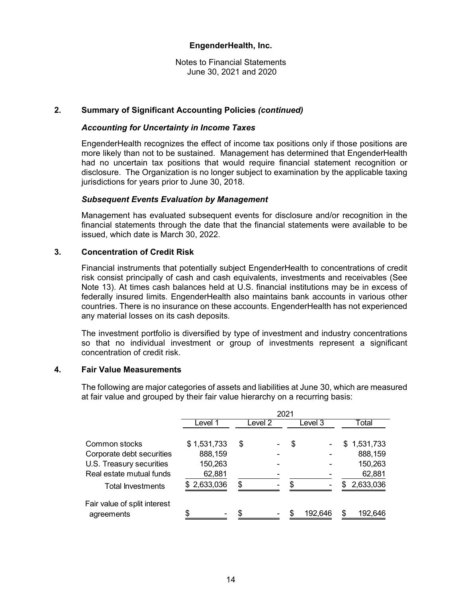Notes to Financial Statements June 30, 2021 and 2020

### **2. Summary of Significant Accounting Policies** *(continued)*

#### *Accounting for Uncertainty in Income Taxes*

EngenderHealth recognizes the effect of income tax positions only if those positions are more likely than not to be sustained. Management has determined that EngenderHealth had no uncertain tax positions that would require financial statement recognition or disclosure. The Organization is no longer subject to examination by the applicable taxing jurisdictions for years prior to June 30, 2018.

#### *Subsequent Events Evaluation by Management*

Management has evaluated subsequent events for disclosure and/or recognition in the financial statements through the date that the financial statements were available to be issued, which date is March 30, 2022.

#### **3. Concentration of Credit Risk**

Financial instruments that potentially subject EngenderHealth to concentrations of credit risk consist principally of cash and cash equivalents, investments and receivables (See Note 13). At times cash balances held at U.S. financial institutions may be in excess of federally insured limits. EngenderHealth also maintains bank accounts in various other countries. There is no insurance on these accounts. EngenderHealth has not experienced any material losses on its cash deposits.

The investment portfolio is diversified by type of investment and industry concentrations so that no individual investment or group of investments represent a significant concentration of credit risk.

#### **4. Fair Value Measurements**

The following are major categories of assets and liabilities at June 30, which are measured at fair value and grouped by their fair value hierarchy on a recurring basis:

|                                            | 2021            |    |         |     |         |     |           |
|--------------------------------------------|-----------------|----|---------|-----|---------|-----|-----------|
|                                            | Level 1         |    | Level 2 |     | Level 3 |     | Total     |
| Common stocks                              | \$1,531,733     | \$ |         | \$  |         | S   | 1,531,733 |
|                                            |                 |    |         |     |         |     |           |
| Corporate debt securities                  | 888,159         |    |         |     |         |     | 888,159   |
| U.S. Treasury securities                   | 150,263         |    |         |     |         |     | 150,263   |
| Real estate mutual funds                   | 62,881          |    |         |     |         |     | 62,881    |
| <b>Total Investments</b>                   | 2,633,036<br>S. | \$ |         |     |         |     | 2,633,036 |
| Fair value of split interest<br>agreements |                 | \$ |         | \$. | 192.646 | \$. | 192,646   |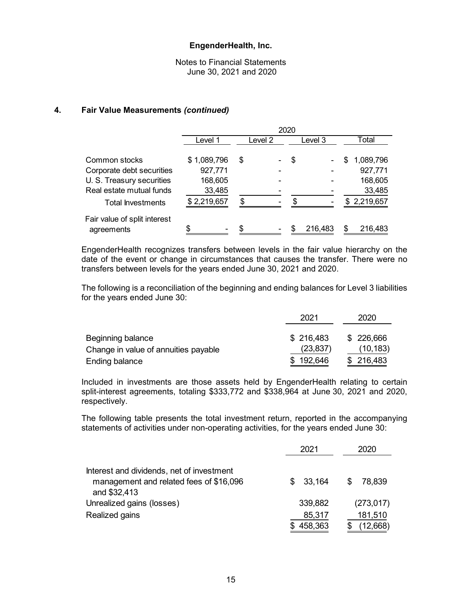# **4. Fair Value Measurements** *(continued)*

|                                            | 2020        |         |         |                |  |  |
|--------------------------------------------|-------------|---------|---------|----------------|--|--|
|                                            | Level 1     | Level 2 | Level 3 | Total          |  |  |
| Common stocks                              | \$1,089,796 | \$      | \$      | 1,089,796<br>S |  |  |
| Corporate debt securities                  | 927,771     |         |         | 927,771        |  |  |
| U. S. Treasury securities                  | 168,605     |         |         | 168,605        |  |  |
| Real estate mutual funds                   | 33,485      |         |         | 33,485         |  |  |
| <b>Total Investments</b>                   | \$2,219,657 | \$      |         | 2,219,657      |  |  |
| Fair value of split interest<br>agreements |             |         | 216,483 | 216,483        |  |  |

EngenderHealth recognizes transfers between levels in the fair value hierarchy on the date of the event or change in circumstances that causes the transfer. There were no transfers between levels for the years ended June 30, 2021 and 2020.

The following is a reconciliation of the beginning and ending balances for Level 3 liabilities for the years ended June 30:

|                                      | 2021      | 2020       |
|--------------------------------------|-----------|------------|
| Beginning balance                    | \$216,483 | \$ 226,666 |
| Change in value of annuities payable | (23, 837) | (10, 183)  |
| Ending balance                       | 192,646   | \$216,483  |

Included in investments are those assets held by EngenderHealth relating to certain split-interest agreements, totaling \$333,772 and \$338,964 at June 30, 2021 and 2020, respectively.

The following table presents the total investment return, reported in the accompanying statements of activities under non-operating activities, for the years ended June 30:

|                                                                                      | 2021          | 2020        |  |
|--------------------------------------------------------------------------------------|---------------|-------------|--|
| Interest and dividends, net of investment<br>management and related fees of \$16,096 | 33,164<br>\$. | 78,839<br>S |  |
| and \$32,413                                                                         |               |             |  |
| Unrealized gains (losses)                                                            | 339,882       | (273, 017)  |  |
| Realized gains                                                                       | 85,317        | 181,510     |  |
|                                                                                      | 458,363       | (12,668)    |  |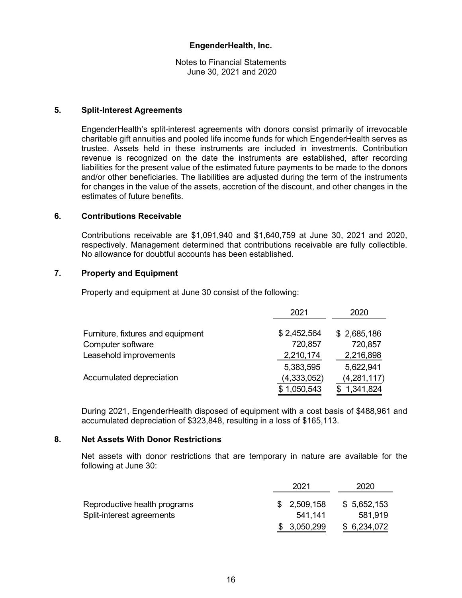Notes to Financial Statements June 30, 2021 and 2020

#### **5. Split-Interest Agreements**

EngenderHealth's split-interest agreements with donors consist primarily of irrevocable charitable gift annuities and pooled life income funds for which EngenderHealth serves as trustee. Assets held in these instruments are included in investments. Contribution revenue is recognized on the date the instruments are established, after recording liabilities for the present value of the estimated future payments to be made to the donors and/or other beneficiaries. The liabilities are adjusted during the term of the instruments for changes in the value of the assets, accretion of the discount, and other changes in the estimates of future benefits.

# **6. Contributions Receivable**

Contributions receivable are \$1,091,940 and \$1,640,759 at June 30, 2021 and 2020, respectively. Management determined that contributions receivable are fully collectible. No allowance for doubtful accounts has been established.

#### **7. Property and Equipment**

Property and equipment at June 30 consist of the following:

|                                   | 2021        | 2020        |
|-----------------------------------|-------------|-------------|
| Furniture, fixtures and equipment | \$2,452,564 | \$2,685,186 |
| Computer software                 | 720,857     | 720,857     |
| Leasehold improvements            | 2,210,174   | 2,216,898   |
|                                   | 5,383,595   | 5,622,941   |
| Accumulated depreciation          | (4,333,052) | (4,281,117) |
|                                   | 1,050,543   | 1,341,824   |
|                                   |             |             |

During 2021, EngenderHealth disposed of equipment with a cost basis of \$488,961 and accumulated depreciation of \$323,848, resulting in a loss of \$165,113.

#### **8. Net Assets With Donor Restrictions**

 Net assets with donor restrictions that are temporary in nature are available for the following at June 30:

|                              | 2021         | 2020        |
|------------------------------|--------------|-------------|
| Reproductive health programs | \$ 2,509,158 | \$5,652,153 |
| Split-interest agreements    | 541,141      | 581,919     |
|                              | \$3,050,299  | \$6,234,072 |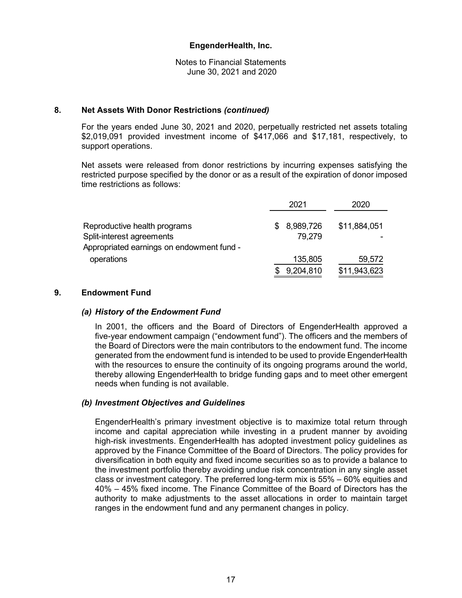### **8. Net Assets With Donor Restrictions** *(continued)*

For the years ended June 30, 2021 and 2020, perpetually restricted net assets totaling \$2,019,091 provided investment income of \$417,066 and \$17,181, respectively, to support operations.

 Net assets were released from donor restrictions by incurring expenses satisfying the restricted purpose specified by the donor or as a result of the expiration of donor imposed time restrictions as follows:

|                                           |   | 2021      | 2020         |
|-------------------------------------------|---|-----------|--------------|
| Reproductive health programs              | S | 8,989,726 | \$11,884,051 |
| Split-interest agreements                 |   | 79.279    |              |
| Appropriated earnings on endowment fund - |   |           |              |
| operations                                |   | 135,805   | 59,572       |
|                                           |   | 9,204,810 | \$11,943,623 |

# **9. Endowment Fund**

#### *(a) History of the Endowment Fund*

In 2001, the officers and the Board of Directors of EngenderHealth approved a five-year endowment campaign ("endowment fund"). The officers and the members of the Board of Directors were the main contributors to the endowment fund. The income generated from the endowment fund is intended to be used to provide EngenderHealth with the resources to ensure the continuity of its ongoing programs around the world, thereby allowing EngenderHealth to bridge funding gaps and to meet other emergent needs when funding is not available.

#### *(b) Investment Objectives and Guidelines*

EngenderHealth's primary investment objective is to maximize total return through income and capital appreciation while investing in a prudent manner by avoiding high-risk investments. EngenderHealth has adopted investment policy guidelines as approved by the Finance Committee of the Board of Directors. The policy provides for diversification in both equity and fixed income securities so as to provide a balance to the investment portfolio thereby avoiding undue risk concentration in any single asset class or investment category. The preferred long-term mix is 55% – 60% equities and 40% – 45% fixed income. The Finance Committee of the Board of Directors has the authority to make adjustments to the asset allocations in order to maintain target ranges in the endowment fund and any permanent changes in policy.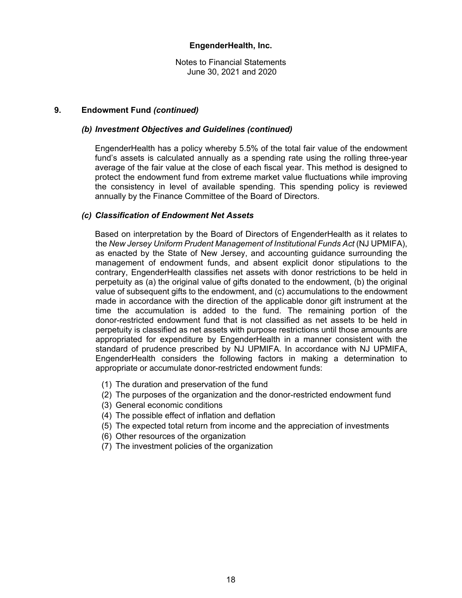Notes to Financial Statements June 30, 2021 and 2020

#### **9. Endowment Fund** *(continued)*

#### *(b) Investment Objectives and Guidelines (continued)*

EngenderHealth has a policy whereby 5.5% of the total fair value of the endowment fund's assets is calculated annually as a spending rate using the rolling three-year average of the fair value at the close of each fiscal year. This method is designed to protect the endowment fund from extreme market value fluctuations while improving the consistency in level of available spending. This spending policy is reviewed annually by the Finance Committee of the Board of Directors.

#### *(c) Classification of Endowment Net Assets*

Based on interpretation by the Board of Directors of EngenderHealth as it relates to the *New Jersey Uniform Prudent Management of Institutional Funds Act* (NJ UPMIFA), as enacted by the State of New Jersey, and accounting guidance surrounding the management of endowment funds, and absent explicit donor stipulations to the contrary, EngenderHealth classifies net assets with donor restrictions to be held in perpetuity as (a) the original value of gifts donated to the endowment, (b) the original value of subsequent gifts to the endowment, and (c) accumulations to the endowment made in accordance with the direction of the applicable donor gift instrument at the time the accumulation is added to the fund. The remaining portion of the donor-restricted endowment fund that is not classified as net assets to be held in perpetuity is classified as net assets with purpose restrictions until those amounts are appropriated for expenditure by EngenderHealth in a manner consistent with the standard of prudence prescribed by NJ UPMIFA. In accordance with NJ UPMIFA, EngenderHealth considers the following factors in making a determination to appropriate or accumulate donor-restricted endowment funds:

- (1) The duration and preservation of the fund
- (2) The purposes of the organization and the donor-restricted endowment fund
- (3) General economic conditions
- (4) The possible effect of inflation and deflation
- (5) The expected total return from income and the appreciation of investments
- (6) Other resources of the organization
- (7) The investment policies of the organization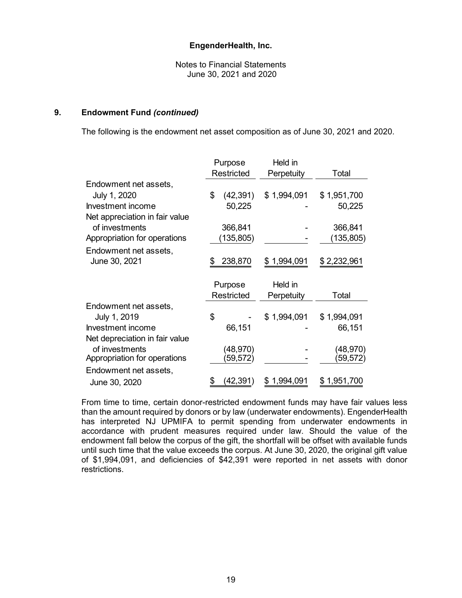Notes to Financial Statements June 30, 2021 and 2020

# **9. Endowment Fund** *(continued)*

The following is the endowment net asset composition as of June 30, 2021 and 2020.

|                                                                                              | Purpose                      | Held in               |                       |
|----------------------------------------------------------------------------------------------|------------------------------|-----------------------|-----------------------|
|                                                                                              | Restricted                   | Perpetuity            | Total                 |
| Endowment net assets,<br>July 1, 2020<br>Investment income<br>Net appreciation in fair value | \$<br>(42, 391)<br>50,225    | \$1,994,091           | \$1,951,700<br>50,225 |
| of investments<br>Appropriation for operations                                               | 366,841<br>(135, 805)        |                       | 366,841<br>(135, 805) |
| Endowment net assets,<br>June 30, 2021                                                       | 238,870<br>S                 | \$1,994,091           | \$2,232,961           |
|                                                                                              | Purpose<br><b>Restricted</b> | Held in<br>Perpetuity | Total                 |
| Endowment net assets,<br>July 1, 2019                                                        | \$                           | \$1,994,091           | \$1,994,091           |
| Investment income                                                                            | 66,151                       |                       | 66,151                |
| Net depreciation in fair value<br>of investments<br>Appropriation for operations             | (48,970)<br>(59, 572)        |                       | (48,970)<br>(59, 572) |
| Endowment net assets,                                                                        |                              |                       |                       |

From time to time, certain donor-restricted endowment funds may have fair values less than the amount required by donors or by law (underwater endowments). EngenderHealth has interpreted NJ UPMIFA to permit spending from underwater endowments in accordance with prudent measures required under law. Should the value of the endowment fall below the corpus of the gift, the shortfall will be offset with available funds until such time that the value exceeds the corpus. At June 30, 2020, the original gift value of \$1,994,091, and deficiencies of \$42,391 were reported in net assets with donor restrictions.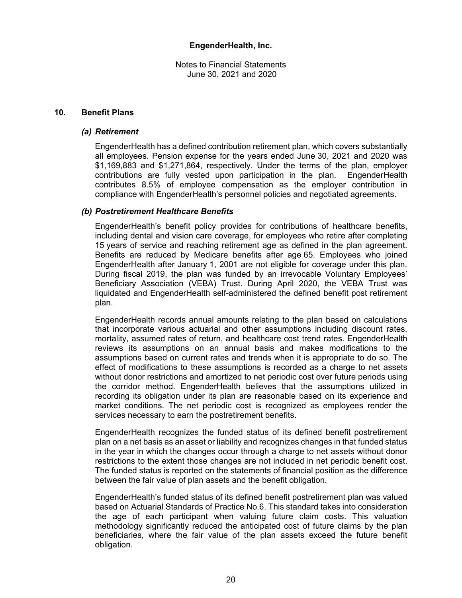Notes to Financial Statements June 30, 2021 and 2020

#### **10. Benefit Plans**

#### *(a) Retirement*

EngenderHealth has a defined contribution retirement plan, which covers substantially all employees. Pension expense for the years ended June 30, 2021 and 2020 was \$1,169,883 and \$1,271,864, respectively. Under the terms of the plan, employer contributions are fully vested upon participation in the plan. EngenderHealth contributes 8.5% of employee compensation as the employer contribution in compliance with EngenderHealth's personnel policies and negotiated agreements.

#### *(b) Postretirement Healthcare Benefits*

EngenderHealth's benefit policy provides for contributions of healthcare benefits, including dental and vision care coverage, for employees who retire after completing 15 years of service and reaching retirement age as defined in the plan agreement. Benefits are reduced by Medicare benefits after age 65. Employees who joined EngenderHealth after January 1, 2001 are not eligible for coverage under this plan. During fiscal 2019, the plan was funded by an irrevocable Voluntary Employees' Beneficiary Association (VEBA) Trust. During April 2020, the VEBA Trust was liquidated and EngenderHealth self-administered the defined benefit post retirement plan.

EngenderHealth records annual amounts relating to the plan based on calculations that incorporate various actuarial and other assumptions including discount rates, mortality, assumed rates of return, and healthcare cost trend rates. EngenderHealth reviews its assumptions on an annual basis and makes modifications to the assumptions based on current rates and trends when it is appropriate to do so. The effect of modifications to these assumptions is recorded as a charge to net assets without donor restrictions and amortized to net periodic cost over future periods using the corridor method. EngenderHealth believes that the assumptions utilized in recording its obligation under its plan are reasonable based on its experience and market conditions. The net periodic cost is recognized as employees render the services necessary to earn the postretirement benefits.

EngenderHealth recognizes the funded status of its defined benefit postretirement plan on a net basis as an asset or liability and recognizes changes in that funded status in the year in which the changes occur through a charge to net assets without donor restrictions to the extent those changes are not included in net periodic benefit cost. The funded status is reported on the statements of financial position as the difference between the fair value of plan assets and the benefit obligation.

EngenderHealth's funded status of its defined benefit postretirement plan was valued based on Actuarial Standards of Practice No.6. This standard takes into consideration the age of each participant when valuing future claim costs. This valuation methodology significantly reduced the anticipated cost of future claims by the plan beneficiaries, where the fair value of the plan assets exceed the future benefit obligation.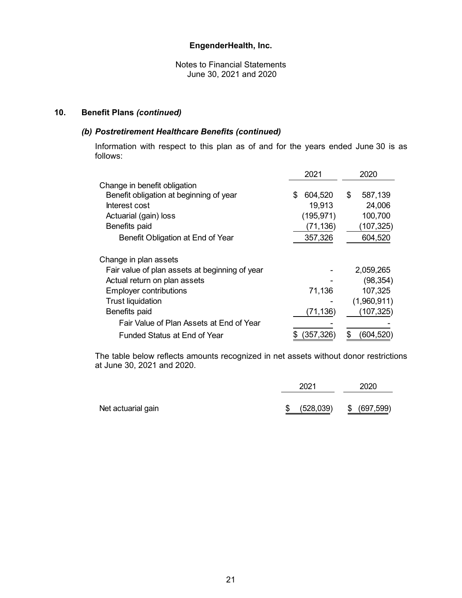# **10. Benefit Plans** *(continued)*

# *(b) Postretirement Healthcare Benefits (continued)*

Information with respect to this plan as of and for the years ended June 30 is as follows:

|                                                | 2021          | 2020          |
|------------------------------------------------|---------------|---------------|
| Change in benefit obligation                   |               |               |
| Benefit obligation at beginning of year        | 604,520<br>\$ | 587,139<br>\$ |
| Interest cost                                  | 19,913        | 24,006        |
| Actuarial (gain) loss                          | (195, 971)    | 100,700       |
| Benefits paid                                  | (71,136)      | (107, 325)    |
| Benefit Obligation at End of Year              | 357,326       | 604,520       |
| Change in plan assets                          |               |               |
| Fair value of plan assets at beginning of year |               | 2,059,265     |
| Actual return on plan assets                   |               | (98, 354)     |
| <b>Employer contributions</b>                  | 71,136        | 107,325       |
| <b>Trust liquidation</b>                       |               | (1,960,911)   |
| Benefits paid                                  | (71,136)      | (107,325)     |
| Fair Value of Plan Assets at End of Year       |               |               |
| Funded Status at End of Year                   | 357,326       | 604,520       |

The table below reflects amounts recognized in net assets without donor restrictions at June 30, 2021 and 2020.

|                    | 2021      | 2020         |
|--------------------|-----------|--------------|
| Net actuarial gain | (528,039) | \$ (697,599) |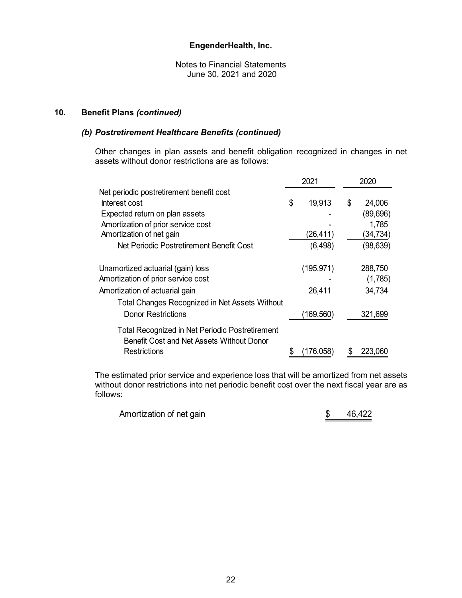Notes to Financial Statements June 30, 2021 and 2020

### **10. Benefit Plans** *(continued)*

#### *(b) Postretirement Healthcare Benefits (continued)*

Other changes in plan assets and benefit obligation recognized in changes in net assets without donor restrictions are as follows:

|                                                                                              | 2021         | 2020         |
|----------------------------------------------------------------------------------------------|--------------|--------------|
| Net periodic postretirement benefit cost                                                     |              |              |
| Interest cost                                                                                | \$<br>19,913 | \$<br>24,006 |
| Expected return on plan assets                                                               |              | (89, 696)    |
| Amortization of prior service cost                                                           |              | 1,785        |
| Amortization of net gain                                                                     | (26,411)     | (34,734)     |
| Net Periodic Postretirement Benefit Cost                                                     | (6, 498)     | (98, 639)    |
| Unamortized actuarial (gain) loss                                                            | (195, 971)   | 288,750      |
| Amortization of prior service cost                                                           |              | (1,785)      |
| Amortization of actuarial gain                                                               | 26,411       | 34,734       |
| <b>Total Changes Recognized in Net Assets Without</b>                                        |              |              |
| <b>Donor Restrictions</b>                                                                    | (169, 560)   | 321,699      |
| Total Recognized in Net Periodic Postretirement<br>Benefit Cost and Net Assets Without Donor |              |              |
| <b>Restrictions</b>                                                                          | 176,058)     | 223,060      |

The estimated prior service and experience loss that will be amortized from net assets without donor restrictions into net periodic benefit cost over the next fiscal year are as follows:

| Amortization of net gain |  | 46,422 |
|--------------------------|--|--------|
|--------------------------|--|--------|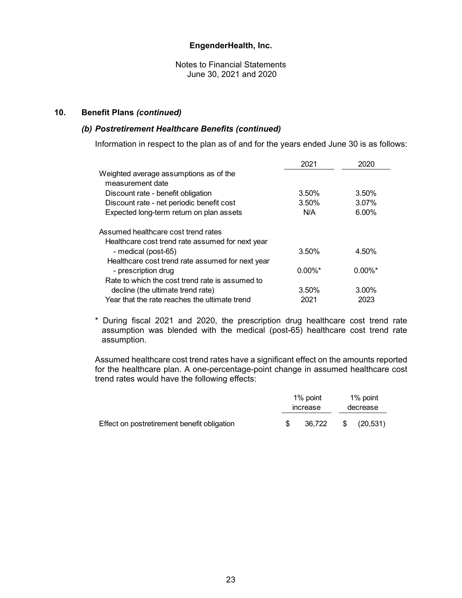# **10. Benefit Plans** *(continued)*

# *(b) Postretirement Healthcare Benefits (continued)*

Information in respect to the plan as of and for the years ended June 30 is as follows:

|                                                            | 2021       | 2020       |
|------------------------------------------------------------|------------|------------|
| Weighted average assumptions as of the<br>measurement date |            |            |
| Discount rate - benefit obligation                         | 3.50%      | 3.50%      |
| Discount rate - net periodic benefit cost                  | 3.50%      | 3.07%      |
| Expected long-term return on plan assets                   | N/A        | $6.00\%$   |
| Assumed healthcare cost trend rates                        |            |            |
| Healthcare cost trend rate assumed for next year           |            |            |
| - medical (post-65)                                        | $3.50\%$   | 4.50%      |
| Healthcare cost trend rate assumed for next year           |            |            |
| - prescription drug                                        | $0.00\%$ * | $0.00\%$ * |
| Rate to which the cost trend rate is assumed to            |            |            |
| decline (the ultimate trend rate)                          | 3.50%      | 3.00%      |
| Year that the rate reaches the ultimate trend              | 2021       | 2023       |

\* During fiscal 2021 and 2020, the prescription drug healthcare cost trend rate assumption was blended with the medical (post-65) healthcare cost trend rate assumption.

Assumed healthcare cost trend rates have a significant effect on the amounts reported for the healthcare plan. A one-percentage-point change in assumed healthcare cost trend rates would have the following effects:

|                                             | 1% point |          | 1% point |           |
|---------------------------------------------|----------|----------|----------|-----------|
|                                             |          | increase |          | decrease  |
| Effect on postretirement benefit obligation | -86      | 36.722   | <b>S</b> | (20, 531) |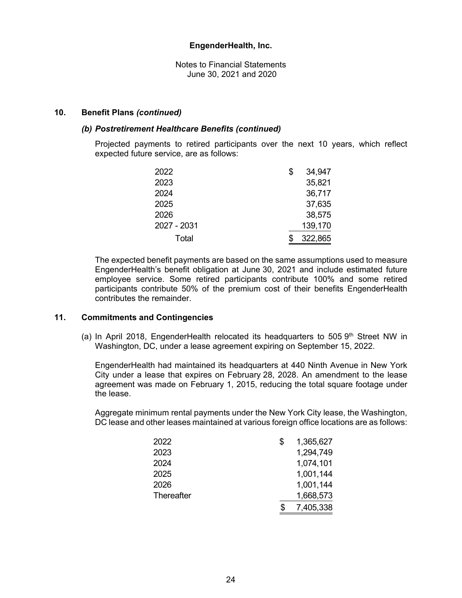### **10. Benefit Plans** *(continued)*

### *(b) Postretirement Healthcare Benefits (continued)*

Projected payments to retired participants over the next 10 years, which reflect expected future service, are as follows:

| 2022        | \$<br>34,947 |
|-------------|--------------|
| 2023        | 35,821       |
| 2024        | 36,717       |
| 2025        | 37,635       |
| 2026        | 38,575       |
| 2027 - 2031 | 139,170      |
| Total       | 322,865      |

The expected benefit payments are based on the same assumptions used to measure EngenderHealth's benefit obligation at June 30, 2021 and include estimated future employee service. Some retired participants contribute 100% and some retired participants contribute 50% of the premium cost of their benefits EngenderHealth contributes the remainder.

#### **11. Commitments and Contingencies**

(a) In April 2018, EngenderHealth relocated its headquarters to 505  $9<sup>th</sup>$  Street NW in Washington, DC, under a lease agreement expiring on September 15, 2022.

EngenderHealth had maintained its headquarters at 440 Ninth Avenue in New York City under a lease that expires on February 28, 2028. An amendment to the lease agreement was made on February 1, 2015, reducing the total square footage under the lease.

Aggregate minimum rental payments under the New York City lease, the Washington, DC lease and other leases maintained at various foreign office locations are as follows:

| 2022       | S | 1,365,627 |
|------------|---|-----------|
| 2023       |   | 1,294,749 |
| 2024       |   | 1,074,101 |
| 2025       |   | 1,001,144 |
| 2026       |   | 1,001,144 |
| Thereafter |   | 1,668,573 |
|            |   | 7,405,338 |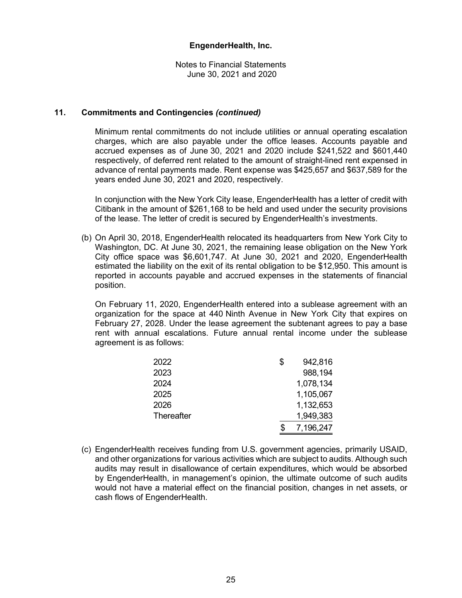# **11. Commitments and Contingencies** *(continued)*

Minimum rental commitments do not include utilities or annual operating escalation charges, which are also payable under the office leases. Accounts payable and accrued expenses as of June 30, 2021 and 2020 include \$241,522 and \$601,440 respectively, of deferred rent related to the amount of straight-lined rent expensed in advance of rental payments made. Rent expense was \$425,657 and \$637,589 for the years ended June 30, 2021 and 2020, respectively.

In conjunction with the New York City lease, EngenderHealth has a letter of credit with Citibank in the amount of \$261,168 to be held and used under the security provisions of the lease. The letter of credit is secured by EngenderHealth's investments.

(b) On April 30, 2018, EngenderHealth relocated its headquarters from New York City to Washington, DC. At June 30, 2021, the remaining lease obligation on the New York City office space was \$6,601,747. At June 30, 2021 and 2020, EngenderHealth estimated the liability on the exit of its rental obligation to be \$12,950. This amount is reported in accounts payable and accrued expenses in the statements of financial position.

On February 11, 2020, EngenderHealth entered into a sublease agreement with an organization for the space at 440 Ninth Avenue in New York City that expires on February 27, 2028. Under the lease agreement the subtenant agrees to pay a base rent with annual escalations. Future annual rental income under the sublease agreement is as follows:

| 2022       | \$<br>942,816 |
|------------|---------------|
| 2023       | 988,194       |
| 2024       | 1,078,134     |
| 2025       | 1,105,067     |
| 2026       | 1,132,653     |
| Thereafter | 1,949,383     |
|            | 7,196,247     |

(c) EngenderHealth receives funding from U.S. government agencies, primarily USAID, and other organizations for various activities which are subject to audits. Although such audits may result in disallowance of certain expenditures, which would be absorbed by EngenderHealth, in management's opinion, the ultimate outcome of such audits would not have a material effect on the financial position, changes in net assets, or cash flows of EngenderHealth.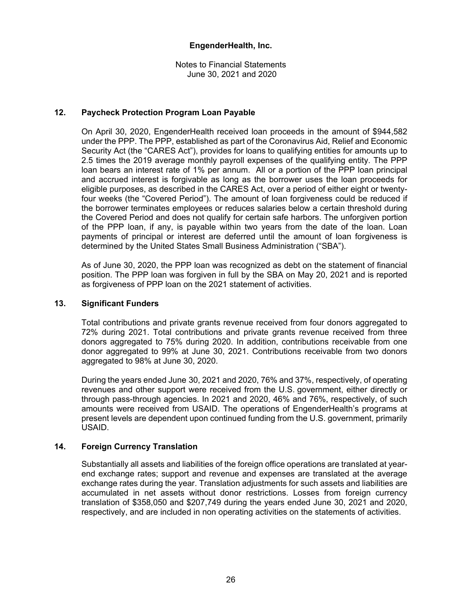# **12. Paycheck Protection Program Loan Payable**

On April 30, 2020, EngenderHealth received loan proceeds in the amount of \$944,582 under the PPP. The PPP, established as part of the Coronavirus Aid, Relief and Economic Security Act (the "CARES Act"), provides for loans to qualifying entities for amounts up to 2.5 times the 2019 average monthly payroll expenses of the qualifying entity. The PPP loan bears an interest rate of 1% per annum. All or a portion of the PPP loan principal and accrued interest is forgivable as long as the borrower uses the loan proceeds for eligible purposes, as described in the CARES Act, over a period of either eight or twentyfour weeks (the "Covered Period"). The amount of loan forgiveness could be reduced if the borrower terminates employees or reduces salaries below a certain threshold during the Covered Period and does not qualify for certain safe harbors. The unforgiven portion of the PPP loan, if any, is payable within two years from the date of the loan. Loan payments of principal or interest are deferred until the amount of loan forgiveness is determined by the United States Small Business Administration ("SBA").

As of June 30, 2020, the PPP loan was recognized as debt on the statement of financial position. The PPP loan was forgiven in full by the SBA on May 20, 2021 and is reported as forgiveness of PPP loan on the 2021 statement of activities.

### **13. Significant Funders**

Total contributions and private grants revenue received from four donors aggregated to 72% during 2021. Total contributions and private grants revenue received from three donors aggregated to 75% during 2020. In addition, contributions receivable from one donor aggregated to 99% at June 30, 2021. Contributions receivable from two donors aggregated to 98% at June 30, 2020.

During the years ended June 30, 2021 and 2020, 76% and 37%, respectively, of operating revenues and other support were received from the U.S. government, either directly or through pass-through agencies. In 2021 and 2020, 46% and 76%, respectively, of such amounts were received from USAID. The operations of EngenderHealth's programs at present levels are dependent upon continued funding from the U.S. government, primarily USAID.

# **14. Foreign Currency Translation**

Substantially all assets and liabilities of the foreign office operations are translated at yearend exchange rates; support and revenue and expenses are translated at the average exchange rates during the year. Translation adjustments for such assets and liabilities are accumulated in net assets without donor restrictions. Losses from foreign currency translation of \$358,050 and \$207,749 during the years ended June 30, 2021 and 2020, respectively, and are included in non operating activities on the statements of activities.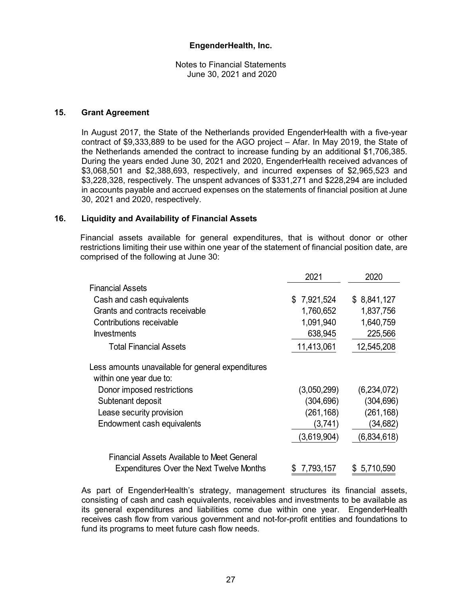Notes to Financial Statements June 30, 2021 and 2020

# **15. Grant Agreement**

In August 2017, the State of the Netherlands provided EngenderHealth with a five-year contract of \$9,333,889 to be used for the AGO project – Afar. In May 2019, the State of the Netherlands amended the contract to increase funding by an additional \$1,706,385. During the years ended June 30, 2021 and 2020, EngenderHealth received advances of \$3,068,501 and \$2,388,693, respectively, and incurred expenses of \$2,965,523 and \$3,228,328, respectively. The unspent advances of \$331,271 and \$228,294 are included in accounts payable and accrued expenses on the statements of financial position at June 30, 2021 and 2020, respectively.

#### **16. Liquidity and Availability of Financial Assets**

Financial assets available for general expenditures, that is without donor or other restrictions limiting their use within one year of the statement of financial position date, are comprised of the following at June 30:

|                                                   | 2021           | 2020         |
|---------------------------------------------------|----------------|--------------|
| <b>Financial Assets</b>                           |                |              |
| Cash and cash equivalents                         | \$7,921,524    | \$8,841,127  |
| Grants and contracts receivable                   | 1,760,652      | 1,837,756    |
| Contributions receivable                          | 1,091,940      | 1,640,759    |
| <b>Investments</b>                                | 638,945        | 225,566      |
| <b>Total Financial Assets</b>                     | 11,413,061     | 12,545,208   |
| Less amounts unavailable for general expenditures |                |              |
| within one year due to:                           |                |              |
| Donor imposed restrictions                        | (3,050,299)    | (6,234,072)  |
| Subtenant deposit                                 | (304, 696)     | (304, 696)   |
| Lease security provision                          | (261, 168)     | (261, 168)   |
| Endowment cash equivalents                        | (3,741)        | (34, 682)    |
|                                                   | (3,619,904)    | (6,834,618)  |
| Financial Assets Available to Meet General        |                |              |
| <b>Expenditures Over the Next Twelve Months</b>   | 7,793,157<br>S | \$ 5,710,590 |

As part of EngenderHealth's strategy, management structures its financial assets, consisting of cash and cash equivalents, receivables and investments to be available as its general expenditures and liabilities come due within one year. EngenderHealth receives cash flow from various government and not-for-profit entities and foundations to fund its programs to meet future cash flow needs.